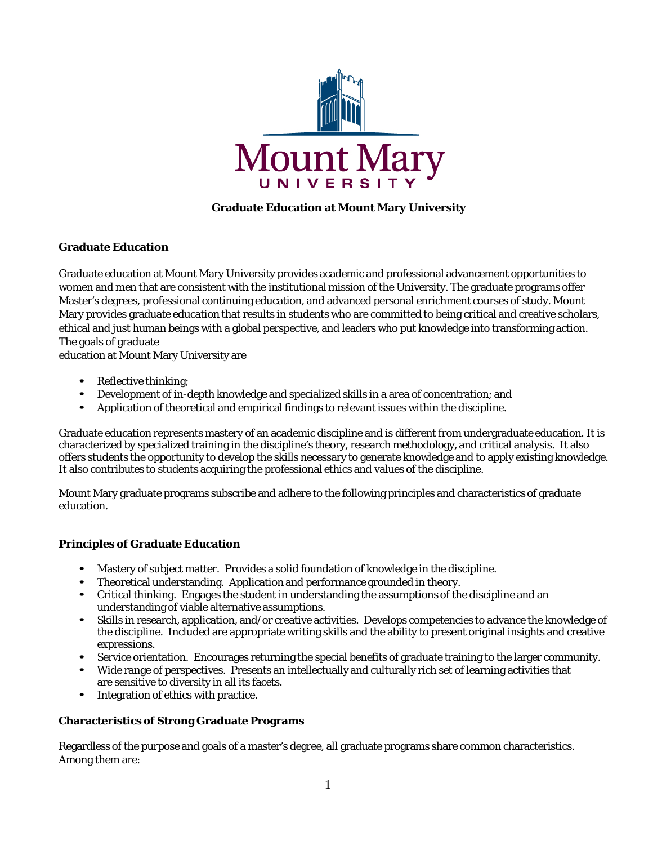

# **Graduate Education at Mount Mary University**

# **Graduate Education**

Graduate education at Mount Mary University provides academic and professional advancement opportunities to women and men that are consistent with the institutional mission of the University. The graduate programs offer Master's degrees, professional continuing education, and advanced personal enrichment courses of study. Mount Mary provides graduate education that results in students who are committed to being critical and creative scholars, ethical and just human beings with a global perspective, and leaders who put knowledge into transforming action. The goals of graduate

education at Mount Mary University are

- Reflective thinking;
- Development of in-depth knowledge and specialized skills in a area of concentration; and
- Application of theoretical and empirical findings to relevant issues within the discipline.

Graduate education represents mastery of an academic discipline and is different from undergraduate education. It is characterized by specialized training in the discipline's theory, research methodology, and critical analysis. It also offers students the opportunity to develop the skills necessary to generate knowledge and to apply existing knowledge. It also contributes to students acquiring the professional ethics and values of the discipline.

Mount Mary graduate programs subscribe and adhere to the following principles and characteristics of graduate education.

# **Principles of Graduate Education**

- Mastery of subject matter. Provides a solid foundation of knowledge in the discipline.
- Theoretical understanding. Application and performance grounded in theory.
- Critical thinking. Engages the student in understanding the assumptions of the discipline and an understanding of viable alternative assumptions.
- Skills in research, application, and/or creative activities. Develops competencies to advance the knowledge of the discipline. Included are appropriate writing skills and the ability to present original insights and creative expressions.
- Service orientation. Encourages returning the special benefits of graduate training to the larger community.
- Wide range of perspectives. Presents an intellectually and culturally rich set of learning activities that are sensitive to diversity in all its facets.
- Integration of ethics with practice.

# **Characteristics of Strong Graduate Programs**

Regardless of the purpose and goals of a master's degree, all graduate programs share common characteristics. Among them are: